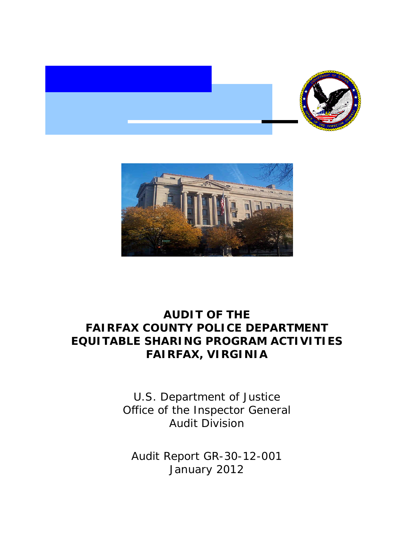



# **AUDIT OF THE FAIRFAX COUNTY POLICE DEPARTMENT EQUITABLE SHARING PROGRAM ACTIVITIES FAIRFAX, VIRGINIA**

U.S. Department of Justice Office of the Inspector General Audit Division

Audit Report GR-30-12-001 January 2012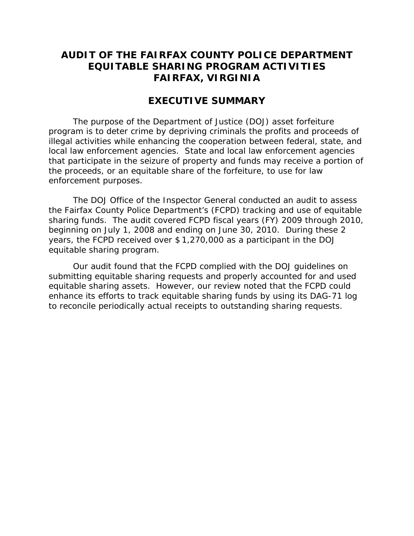## **AUDIT OF THE FAIRFAX COUNTY POLICE DEPARTMENT EQUITABLE SHARING PROGRAM ACTIVITIES FAIRFAX, VIRGINIA**

### **EXECUTIVE SUMMARY**

The purpose of the Department of Justice (DOJ) asset forfeiture program is to deter crime by depriving criminals the profits and proceeds of illegal activities while enhancing the cooperation between federal, state, and local law enforcement agencies. State and local law enforcement agencies that participate in the seizure of property and funds may receive a portion of the proceeds, or an equitable share of the forfeiture, to use for law enforcement purposes.

The DOJ Office of the Inspector General conducted an audit to assess the Fairfax County Police Department's (FCPD) tracking and use of equitable sharing funds. The audit covered FCPD fiscal years (FY) 2009 through 2010, beginning on July 1, 2008 and ending on June 30, 2010. During these 2 years, the FCPD received over \$ 1,270,000 as a participant in the DOJ equitable sharing program.

Our audit found that the FCPD complied with the DOJ guidelines on submitting equitable sharing requests and properly accounted for and used equitable sharing assets. However, our review noted that the FCPD could enhance its efforts to track equitable sharing funds by using its DAG-71 log to reconcile periodically actual receipts to outstanding sharing requests.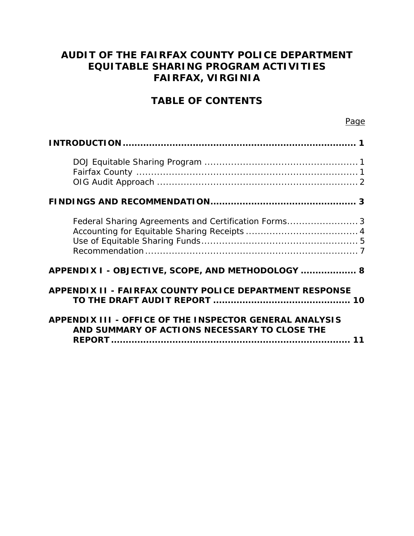## **AUDIT OF THE FAIRFAX COUNTY POLICE DEPARTMENT EQUITABLE SHARING PROGRAM ACTIVITIES FAIRFAX, VIRGINIA**

## **TABLE OF CONTENTS**

| Federal Sharing Agreements and Certification Forms3                                                      |
|----------------------------------------------------------------------------------------------------------|
| APPENDIX I - OBJECTIVE, SCOPE, AND METHODOLOGY  8                                                        |
| <b>APPENDIX II - FAIRFAX COUNTY POLICE DEPARTMENT RESPONSE</b>                                           |
| APPENDIX III - OFFICE OF THE INSPECTOR GENERAL ANALYSIS<br>AND SUMMARY OF ACTIONS NECESSARY TO CLOSE THE |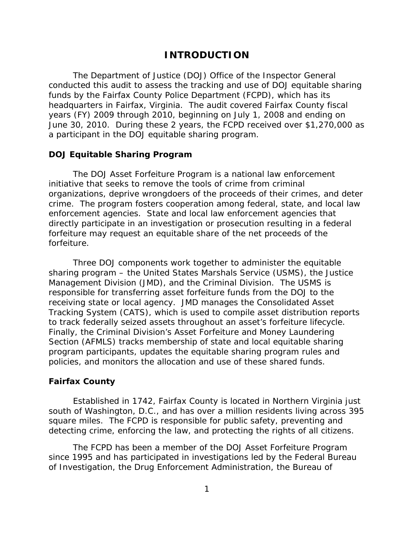### **INTRODUCTION**

<span id="page-3-0"></span>The Department of Justice (DOJ) Office of the Inspector General conducted this audit to assess the tracking and use of DOJ equitable sharing funds by the Fairfax County Police Department (FCPD), which has its headquarters in Fairfax, Virginia. The audit covered Fairfax County fiscal years (FY) 2009 through 2010, beginning on July 1, 2008 and ending on June 30, 2010. During these 2 years, the FCPD received over \$1,270,000 as a participant in the DOJ equitable sharing program.

#### **DOJ Equitable Sharing Program**

forfeiture. The DOJ Asset Forfeiture Program is a national law enforcement initiative that seeks to remove the tools of crime from criminal organizations, deprive wrongdoers of the proceeds of their crimes, and deter crime. The program fosters cooperation among federal, state, and local law enforcement agencies. State and local law enforcement agencies that directly participate in an investigation or prosecution resulting in a federal forfeiture may request an equitable share of the net proceeds of the

Three DOJ components work together to administer the equitable sharing program – the United States Marshals Service (USMS), the Justice Management Division (JMD), and the Criminal Division. The USMS is responsible for transferring asset forfeiture funds from the DOJ to the receiving state or local agency. JMD manages the Consolidated Asset Tracking System (CATS), which is used to compile asset distribution reports to track federally seized assets throughout an asset's forfeiture lifecycle. Finally, the Criminal Division's Asset Forfeiture and Money Laundering Section (AFMLS) tracks membership of state and local equitable sharing program participants, updates the equitable sharing program rules and policies, and monitors the allocation and use of these shared funds.

#### **Fairfax County**

Established in 1742, Fairfax County is located in Northern Virginia just south of Washington, D.C., and has over a million residents living across 395 square miles. The FCPD is responsible for public safety, preventing and detecting crime, enforcing the law, and protecting the rights of all citizens.

The FCPD has been a member of the DOJ Asset Forfeiture Program since 1995 and has participated in investigations led by the Federal Bureau of Investigation, the Drug Enforcement Administration, the Bureau of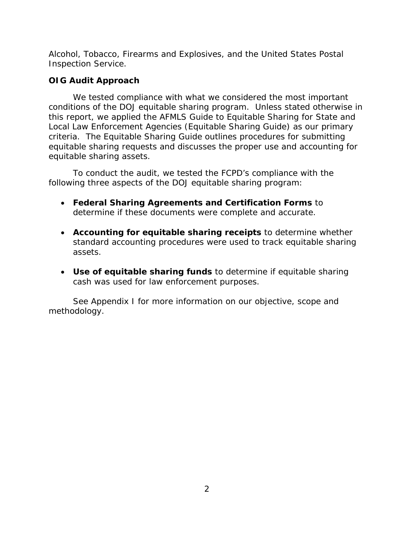<span id="page-4-0"></span>Alcohol, Tobacco, Firearms and Explosives, and the United States Postal Inspection Service.

## **OIG Audit Approach**

We tested compliance with what we considered the most important conditions of the DOJ equitable sharing program. Unless stated otherwise in this report, we applied the AFMLS *Guide to Equitable Sharing for State and Local Law Enforcement Agencies (Equitable Sharing Guide)* as our primary criteria. The Equitable Sharing Guide outlines procedures for submitting equitable sharing requests and discusses the proper use and accounting for equitable sharing assets.

To conduct the audit, we tested the FCPD's compliance with the following three aspects of the DOJ equitable sharing program:

- **Federal Sharing Agreements and Certification Forms** to determine if these documents were complete and accurate.
- **Accounting for equitable sharing receipts** to determine whether standard accounting procedures were used to track equitable sharing assets.
- **Use of equitable sharing funds** to determine if equitable sharing cash was used for law enforcement purposes.

See Appendix I for more information on our objective, scope and methodology.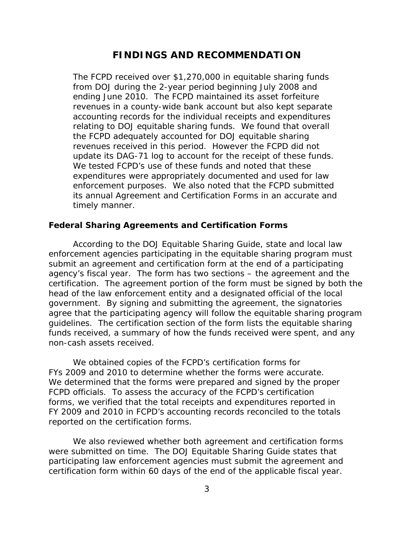## **FINDINGS AND RECOMMENDATION**

<span id="page-5-0"></span>The FCPD received over \$1,270,000 in equitable sharing funds from DOJ during the 2-year period beginning July 2008 and ending June 2010. The FCPD maintained its asset forfeiture revenues in a county-wide bank account but also kept separate accounting records for the individual receipts and expenditures relating to DOJ equitable sharing funds. We found that overall the FCPD adequately accounted for DOJ equitable sharing revenues received in this period. However the FCPD did not update its DAG-71 log to account for the receipt of these funds. We tested FCPD's use of these funds and noted that these expenditures were appropriately documented and used for law enforcement purposes. We also noted that the FCPD submitted its annual Agreement and Certification Forms in an accurate and timely manner.

#### **Federal Sharing Agreements and Certification Forms**

According to the DOJ Equitable Sharing Guide, state and local law enforcement agencies participating in the equitable sharing program must submit an agreement and certification form at the end of a participating agency's fiscal year. The form has two sections – the agreement and the certification. The agreement portion of the form must be signed by both the head of the law enforcement entity and a designated official of the local government. By signing and submitting the agreement, the signatories agree that the participating agency will follow the equitable sharing program guidelines. The certification section of the form lists the equitable sharing funds received, a summary of how the funds received were spent, and any non-cash assets received.

We obtained copies of the FCPD's certification forms for FYs 2009 and 2010 to determine whether the forms were accurate. We determined that the forms were prepared and signed by the proper FCPD officials. To assess the accuracy of the FCPD's certification forms, we verified that the total receipts and expenditures reported in FY 2009 and 2010 in FCPD's accounting records reconciled to the totals reported on the certification forms.

We also reviewed whether both agreement and certification forms were submitted on time. The DOJ Equitable Sharing Guide states that participating law enforcement agencies must submit the agreement and certification form within 60 days of the end of the applicable fiscal year.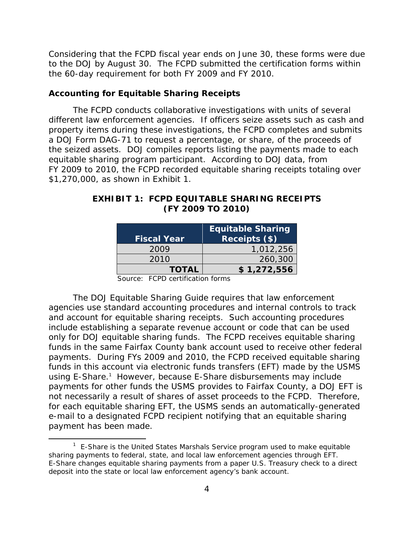Considering that the FCPD fiscal year ends on June 30, these forms were due to the DOJ by August 30. The FCPD submitted the certification forms within the 60-day requirement for both FY 2009 and FY 2010.

#### **Accounting for Equitable Sharing Receipts**

The FCPD conducts collaborative investigations with units of several different law enforcement agencies. If officers seize assets such as cash and property items during these investigations, the FCPD completes and submits a DOJ Form DAG-71 to request a percentage, or share, of the proceeds of the seized assets. DOJ compiles reports listing the payments made to each equitable sharing program participant. According to DOJ data, from FY 2009 to 2010, the FCPD recorded equitable sharing receipts totaling over \$1,270,000, as shown in Exhibit 1.

| <b>Fiscal Year</b> | <b>Equitable Sharing</b><br>Receipts (\$) |
|--------------------|-------------------------------------------|
| 2009               | 1,012,256                                 |
| 2010               | 260,300                                   |
| <b>TOTAL</b>       | \$1,272,556                               |

### **EXHIBIT 1: FCPD EQUITABLE SHARING RECEIPTS (FY 2009 TO 2010)**

Source: FCPD certification forms

The DOJ Equitable Sharing Guide requires that law enforcement agencies use standard accounting procedures and internal controls to track and account for equitable sharing receipts. Such accounting procedures include establishing a separate revenue account or code that can be used only for DOJ equitable sharing funds. The FCPD receives equitable sharing funds in the same Fairfax County bank account used to receive other federal payments. During FYs 2009 and 2010, the FCPD received equitable sharing funds in this account via electronic funds transfers (EFT) made by the USMS using E-Share.<sup>1</sup> However, because E-Share disbursements may include payments for other funds the USMS provides to Fairfax County, a DOJ EFT is not necessarily a result of shares of asset proceeds to the FCPD. Therefore, for each equitable sharing EFT, the USMS sends an automatically-generated e-mail to a designated FCPD recipient notifying that an equitable sharing payment has been made.

deposit into the state or local law enforcement agency's bank account.<br>4  $1$  E-Share is the United States Marshals Service program used to make equitable sharing payments to federal, state, and local law enforcement agencies through EFT. E-Share changes equitable sharing payments from a paper U.S. Treasury check to a direct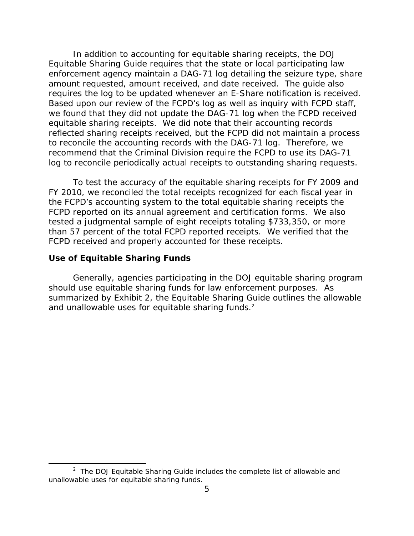<span id="page-7-0"></span>In addition to accounting for equitable sharing receipts, the DOJ Equitable Sharing Guide requires that the state or local participating law enforcement agency maintain a DAG-71 log detailing the seizure type, share amount requested, amount received, and date received. The guide also requires the log to be updated whenever an E-Share notification is received. Based upon our review of the FCPD's log as well as inquiry with FCPD staff, we found that they did not update the DAG-71 log when the FCPD received equitable sharing receipts. We did note that their accounting records reflected sharing receipts received, but the FCPD did not maintain a process to reconcile the accounting records with the DAG-71 log. Therefore, we recommend that the Criminal Division require the FCPD to use its DAG-71 log to reconcile periodically actual receipts to outstanding sharing requests.

To test the accuracy of the equitable sharing receipts for FY 2009 and FY 2010, we reconciled the total receipts recognized for each fiscal year in the FCPD's accounting system to the total equitable sharing receipts the FCPD reported on its annual agreement and certification forms. We also tested a judgmental sample of eight receipts totaling \$733,350, or more than 57 percent of the total FCPD reported receipts. We verified that the FCPD received and properly accounted for these receipts.

#### **Use of Equitable Sharing Funds**

Generally, agencies participating in the DOJ equitable sharing program should use equitable sharing funds for law enforcement purposes. As summarized by Exhibit 2, the Equitable Sharing Guide outlines the allowable and unallowable uses for equitable sharing funds.<sup>2</sup>

<sup>&</sup>lt;sup>2</sup> The DOJ Equitable Sharing Guide includes the complete list of allowable and unallowable uses for equitable sharing funds.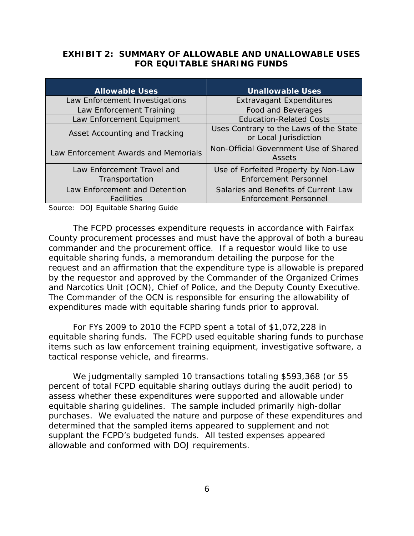### **EXHIBIT 2: SUMMARY OF ALLOWABLE AND UNALLOWABLE USES FOR EQUITABLE SHARING FUNDS**

| <b>Allowable Uses</b>                        | <b>Unallowable Uses</b>                                              |
|----------------------------------------------|----------------------------------------------------------------------|
| Law Enforcement Investigations               | <b>Extravagant Expenditures</b>                                      |
| Law Enforcement Training                     | Food and Beverages                                                   |
| Law Enforcement Equipment                    | <b>Education-Related Costs</b>                                       |
| Asset Accounting and Tracking                | Uses Contrary to the Laws of the State<br>or Local Jurisdiction      |
| Law Enforcement Awards and Memorials         | Non-Official Government Use of Shared<br>Assets                      |
| Law Enforcement Travel and<br>Transportation | Use of Forfeited Property by Non-Law<br><b>Enforcement Personnel</b> |
| Law Enforcement and Detention<br>Facilities  | Salaries and Benefits of Current Law<br><b>Enforcement Personnel</b> |

Source: DOJ Equitable Sharing Guide

The FCPD processes expenditure requests in accordance with Fairfax County procurement processes and must have the approval of both a bureau commander and the procurement office. If a requestor would like to use equitable sharing funds, a memorandum detailing the purpose for the request and an affirmation that the expenditure type is allowable is prepared by the requestor and approved by the Commander of the Organized Crimes and Narcotics Unit (OCN), Chief of Police, and the Deputy County Executive. The Commander of the OCN is responsible for ensuring the allowability of expenditures made with equitable sharing funds prior to approval.

tactical response vehicle, and firearms. For FYs 2009 to 2010 the FCPD spent a total of \$1,072,228 in equitable sharing funds. The FCPD used equitable sharing funds to purchase items such as law enforcement training equipment, investigative software, a

We judgmentally sampled 10 transactions totaling \$593,368 (or 55 percent of total FCPD equitable sharing outlays during the audit period) to assess whether these expenditures were supported and allowable under equitable sharing guidelines. The sample included primarily high-dollar purchases. We evaluated the nature and purpose of these expenditures and determined that the sampled items appeared to supplement and not supplant the FCPD's budgeted funds. All tested expenses appeared allowable and conformed with DOJ requirements.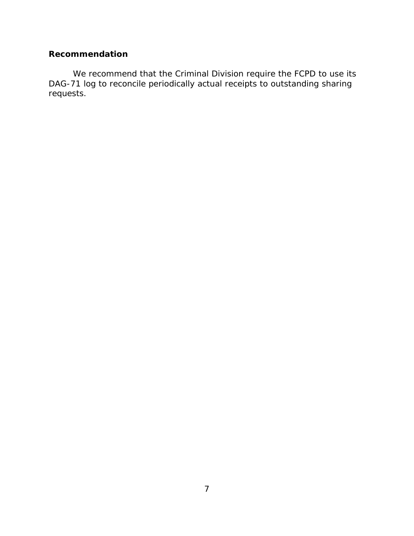## <span id="page-9-0"></span>**Recommendation**

We recommend that the Criminal Division require the FCPD to use its DAG-71 log to reconcile periodically actual receipts to outstanding sharing requests.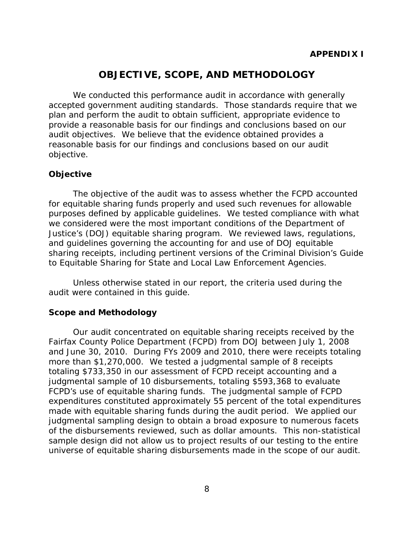## **OBJECTIVE, SCOPE, AND METHODOLOGY**

<span id="page-10-0"></span>We conducted this performance audit in accordance with generally accepted government auditing standards. Those standards require that we plan and perform the audit to obtain sufficient, appropriate evidence to provide a reasonable basis for our findings and conclusions based on our audit objectives. We believe that the evidence obtained provides a reasonable basis for our findings and conclusions based on our audit objective.

#### **Objective**

The objective of the audit was to assess whether the FCPD accounted for equitable sharing funds properly and used such revenues for allowable purposes defined by applicable guidelines. We tested compliance with what we considered were the most important conditions of the Department of Justice's (DOJ) equitable sharing program. We reviewed laws, regulations, and guidelines governing the accounting for and use of DOJ equitable sharing receipts, including pertinent versions of the Criminal Division's *Guide to Equitable Sharing for State and Local Law Enforcement Agencies*.

Unless otherwise stated in our report, the criteria used during the audit were contained in this guide.

#### **Scope and Methodology**

universe of equitable sharing disbursements made in the scope of our audit.<br>8 Our audit concentrated on equitable sharing receipts received by the Fairfax County Police Department (FCPD) from DOJ between July 1, 2008 and June 30, 2010. During FYs 2009 and 2010, there were receipts totaling more than \$1,270,000. We tested a judgmental sample of 8 receipts totaling \$733,350 in our assessment of FCPD receipt accounting and a judgmental sample of 10 disbursements, totaling \$593,368 to evaluate FCPD's use of equitable sharing funds. The judgmental sample of FCPD expenditures constituted approximately 55 percent of the total expenditures made with equitable sharing funds during the audit period. We applied our judgmental sampling design to obtain a broad exposure to numerous facets of the disbursements reviewed, such as dollar amounts. This non-statistical sample design did not allow us to project results of our testing to the entire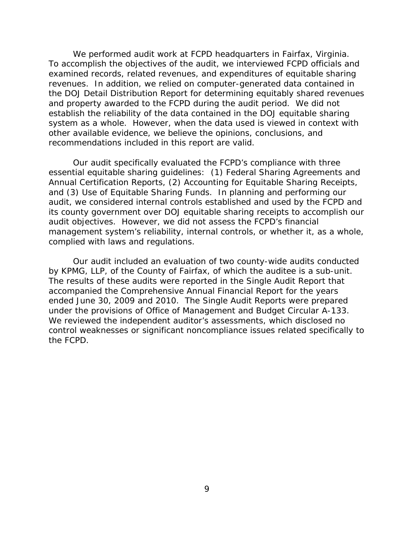We performed audit work at FCPD headquarters in Fairfax, Virginia. To accomplish the objectives of the audit, we interviewed FCPD officials and examined records, related revenues, and expenditures of equitable sharing revenues. In addition, we relied on computer-generated data contained in the DOJ Detail Distribution Report for determining equitably shared revenues and property awarded to the FCPD during the audit period. We did not establish the reliability of the data contained in the DOJ equitable sharing system as a whole. However, when the data used is viewed in context with other available evidence, we believe the opinions, conclusions, and recommendations included in this report are valid.

Our audit specifically evaluated the FCPD's compliance with three essential equitable sharing guidelines: (1) Federal Sharing Agreements and Annual Certification Reports, (2) Accounting for Equitable Sharing Receipts, and (3) Use of Equitable Sharing Funds. In planning and performing our audit, we considered internal controls established and used by the FCPD and its county government over DOJ equitable sharing receipts to accomplish our audit objectives. However, we did not assess the FCPD's financial management system's reliability, internal controls, or whether it, as a whole, complied with laws and regulations.

Our audit included an evaluation of two county-wide audits conducted by KPMG, LLP, of the County of Fairfax, of which the auditee is a sub-unit. The results of these audits were reported in the Single Audit Report that accompanied the Comprehensive Annual Financial Report for the years ended June 30, 2009 and 2010. The Single Audit Reports were prepared under the provisions of Office of Management and Budget Circular A-133. We reviewed the independent auditor's assessments, which disclosed no control weaknesses or significant noncompliance issues related specifically to the FCPD.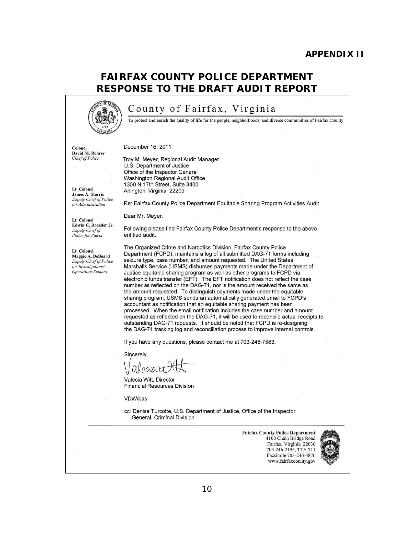#### **APPENDIX II**

## **FAIRFAX COUNTY POLICE DEPARTMENT RESPONSE TO THE DRAFT AUDIT REPORT**



## County of Fairfax, Virginia

To protect and enrich the quality of life for the people, neighborhoods, and diverse communities of Fairfax County

Colonel David M. Rohrer *ChiefofPolice* 

#### December 16, 2011

Lt. Colonel James A. Morris *Deputy Chief of Police (or Administration* 

Lt. Colonel Edwin C. Roessler Jr. *Deputy Chief of Police for Patrol* 

Lt. Colonel Maggie A. DeBoard *Deputy Chief of Police (or Investigations! Operations Support* 

Troy M. Meyer, Regional Audit Manager U.S. Department of Justice Office of the Inspector General Washington Regional Audit Office 1300 N 17th Street, Suite 3400 Arlington, Virginia 22209

Re: Fairfax County Police Department Equitable Sharing Program Activities Audit

Dear Mr. Meyer:

Following please find Fairfax County Police Department's response to the above· entitled audit.

The Organized Crime and Narcotics Division, Fairfax County Police Department (FCPD), maintains a log of all submitted DAG-71 forms including seizure type, case number, and amount requested. The United States Marshalls Service (USMS) disburses payments made under the Department of Justice equitable sharing program as well as other programs to FCPD via electronic funds transfer (EFT). The EFT notification does not reflect the case number as reflected on the DAG·71 , nor is the amount received the same as the amount requested. To distinguish payments made under the equitable sharing program, USMS sends an automatically generated email to FCPD's accountant as notification that an equitable sharing payment has been processed. When the email notification includes the case number and amount requested as reflected on the DAG-71, it will be used to reconcile actual receipts to outstanding DAG-71 requests. It should be noted that FCPD is re-designing the DAG-71 tracking log and reconciliation process to improve internal controls.

If you have any questions, please contact me at 703-246-7583.

Sincerely,

alecia

Valecia Witt, Director Financial Resources Division

VDW/pas

cc: Denise Turcotte, U.S. Department of Justice, Office of the Inspector General, Criminal Division

> Fairfax County Police Department 4100 Chain Bridge Road Fairfax, Virginia 22030 703-246-2195, TTY 711 Facsimile 703·246·3876 www.fairfaxcounty.gov